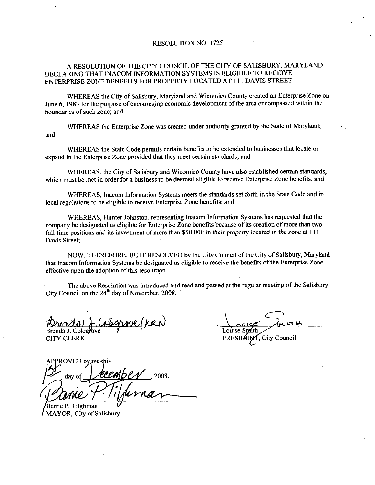#### RESOLUTION NO. 1725

### A RESOLUTION OF THE CITY COUNCIL OF THE CITY OF SALISBURY, MARYLAND DECLARING THAT INACOM INFORMATION SYSTEMS IS ELIGIBLE TO RECEIVE ENTERPRISE ZONE BENEFITS FOR PROPERTY LOCATED AT <sup>111</sup> DAMS STREET

WHEREAS the City of Salisbury, Maryland and Wicomico County created an Enterprise Zone on June 6, 1983 for the purpose of encouraging economic development of the area encompassed within the boundaries of such zone; and

WHEREAS the Enterprise Zone was created under authority granted by the State of Maryland; and

WHEREAS the State Code permits certain benefits to be extended to businesses that locate or expand in the Enterprise Zone provided that they meet certain standards; and

WHEREAS, the City of Salisbury and Wicomico County have also established certain standards. which must be met in order for a business to be deemed eligible to receive Enterprise Zone benefits; and

WHEREAS, Inacom Information Systems meets the standards set forth in the State Code and in local regulations to be eligible to receive Enterprise Zone benefits; and

WHEREAS, Hunter Johnston, representing Inacom Information Systems has requested that the company be designated as eligible for Enterprise Zone benefits because of its creation of more than two<br>full-time positions and its investment of more than \$50,000 in their property located in the zone at 111<br>Davis Street. Davis Street;

NOW, THEREFORE, BE IT RESOLVED by the City Council of the City of Salisbury, Maryland that Inacom Information Systems be designated as eligible to receive the benefits ofthe Enterprise Zone effective upon the adoption of this resolution.

The above Resolution was introduced and read and passed at the regular meeting of the Salisbury City Council on the  $24<sup>th</sup>$  day of November, 2008.

Brenda J. Coleg rove (KRN

**CITY CLERK** 

<mark>وس نیل</mark>ر Louise Smith Louise Sprith<br>Louise Sprith<br>PRESIDENT, City Council

 $\it$  /FD by measure beembe $\nu$  2008. **Ada**<br> **i** J. Coleg<br>
CLERK<br>
OVED by<br>
day of<br> **MIL**<br>
P. Tilghn<br>
DR, City o s eligible for Enterprise<br>investment of more the<br>ORE, BE IT RESOLV<br>Systems be designated<br>on of this resolution.<br>ution was introduced a<br>lay of November, 2008.<br> $\neg$ MDCV, 2008.

Barrie P. Tilghmar  $\ell$  MAYOR, City of Salisbury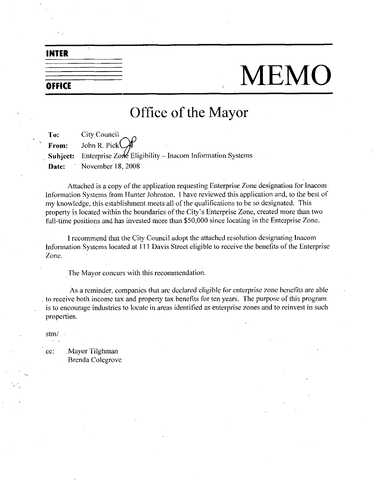### INTER

| the contract of the contract of |  |  |  |
|---------------------------------|--|--|--|
|                                 |  |  |  |
|                                 |  |  |  |
|                                 |  |  |  |
| OFFICE                          |  |  |  |
|                                 |  |  |  |

# MEMO

# Office of the Mayor

To: City Council From: John R. Pick **Subject:** Enterprise Zone Eligibility – Inacom Information Systems Date: November 18, 2008

Attached is a copy of the application requesting Enterprise Zone designation for Inacom Information Systems from Hunter Johnston. I have reviewed this application and, to the best of my knowledge, this establishment meets all of the qualifications to be so designated. This property is located within the bound my knowledge, this establishment meets all of the qualifications to be so designated. This property is located within the boundaries of the City's Enterprise Zone, created more than two<br>full-time positions and has invested more than \$50,000 since locating in the Enterprise Zone.

<sup>1</sup> recommend that the City Council adopt the attached resolution designating Inacom Information Systems located at 111 Davis Street eligible to receive the benefits of the Enterprise Zone

The Mayor concurs with this recommendation

As a reminder, companies that are declared eligible for enterprise zone benefits are able to receive both income tax and property tax benefits for ten years. The purpose of this program is to encourage industries to locate in areas identified as enterprise zones and to reinvest in such properties

stm

cc: Mayor Tilghman Brenda Colegrove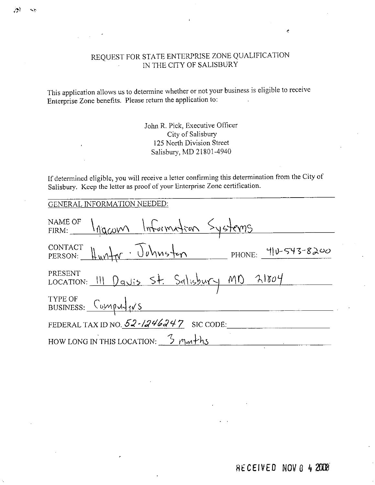# REQUEST FOR STATE ENTERPRISE ZONE QUALIFICATION IN THE CITY OF SALISBURY

This application allows us to determine whether or not your business is eligible to receive Enterprise Zone benefits. Please return the application to:

> John R. Pick, Executive Officer City of Salisbury 125 North Division Street Salisbury, MD 21801-4940

If determined eligible, you will receive a letter confirming this determination from the City of Salisbury. Keep the letter as proof of your Enterprise Zone certification.

| <b>GENERAL INFORMATION NEEDED:</b>                    |
|-------------------------------------------------------|
| NAME OF Ingcom Information Systems                    |
| CONTACT HUM Johnsten PHONE: 410-543-8200              |
| PRESENT<br>LOCATION: 111 Davis St. Salisbury MD 21804 |
| TYPE OF<br>BUSINESS: Compuls                          |
| FEDERAL TAX ID NO. $52 - 1246247$ SIC CODE:           |
| HOW LONG IN THIS LOCATION: $\frac{3}{1000}$ months    |

RECEIVED NOV 0 4 2008

 $\epsilon$